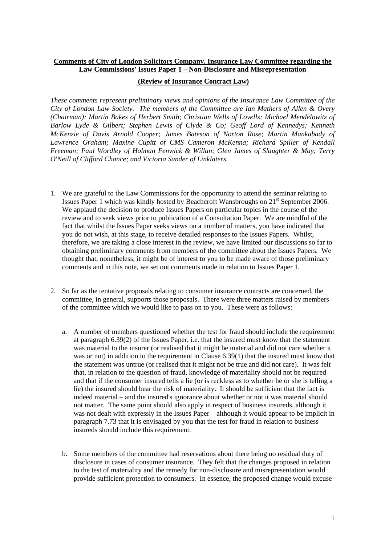## **Comments of City of London Solicitors Company, Insurance Law Committee regarding the Law Commissions' Issues Paper 1 – Non-Disclosure and Misrepresentation**

## **(Review of Insurance Contract Law)**

*These comments represent preliminary views and opinions of the Insurance Law Committee of the City of London Law Society. The members of the Committee are Ian Mathers of Allen & Overy (Chairman); Martin Bakes of Herbert Smith; Christian Wells of Lovells; Michael Mendelowitz of Barlow Lyde & Gilbert; Stephen Lewis of Clyde & Co; Geoff Lord of Kennedys; Kenneth McKenzie of Davis Arnold Cooper; James Bateson of Norton Rose; Martin Mankabady of Lawrence Graham; Maxine Cupitt of CMS Cameron McKenna; Richard Spiller of Kendall Freeman; Paul Wordley of Holman Fenwick & Willan; Glen James of Slaughter & May; Terry O'Neill of Clifford Chance; and Victoria Sander of Linklaters.* 

- 1. We are grateful to the Law Commissions for the opportunity to attend the seminar relating to Issues Paper 1 which was kindly hosted by Beachcroft Wansbroughs on 21st September 2006. We applaud the decision to produce Issues Papers on particular topics in the course of the review and to seek views prior to publication of a Consultation Paper. We are mindful of the fact that whilst the Issues Paper seeks views on a number of matters, you have indicated that you do not wish, at this stage, to receive detailed responses to the Issues Papers. Whilst, therefore, we are taking a close interest in the review, we have limited our discussions so far to obtaining preliminary comments from members of the committee about the Issues Papers. We thought that, nonetheless, it might be of interest to you to be made aware of those preliminary comments and in this note, we set out comments made in relation to Issues Paper 1.
- 2. So far as the tentative proposals relating to consumer insurance contracts are concerned, the committee, in general, supports those proposals. There were three matters raised by members of the committee which we would like to pass on to you. These were as follows:
	- a. A number of members questioned whether the test for fraud should include the requirement at paragraph 6.39(2) of the Issues Paper, i.e. that the insured must know that the statement was material to the insurer (or realised that it might be material and did not care whether it was or not) in addition to the requirement in Clause 6.39(1) that the insured must know that the statement was untrue (or realised that it might not be true and did not care). It was felt that, in relation to the question of fraud, knowledge of materiality should not be required and that if the consumer insured tells a lie (or is reckless as to whether he or she is telling a lie) the insured should bear the risk of materiality. It should be sufficient that the fact is indeed material – and the insured's ignorance about whether or not it was material should not matter. The same point should also apply in respect of business insureds, although it was not dealt with expressly in the Issues Paper – although it would appear to be implicit in paragraph 7.73 that it is envisaged by you that the test for fraud in relation to business insureds should include this requirement.
	- b. Some members of the committee had reservations about there being no residual duty of disclosure in cases of consumer insurance. They felt that the changes proposed in relation to the test of materiality and the remedy for non-disclosure and misrepresentation would provide sufficient protection to consumers. In essence, the proposed change would excuse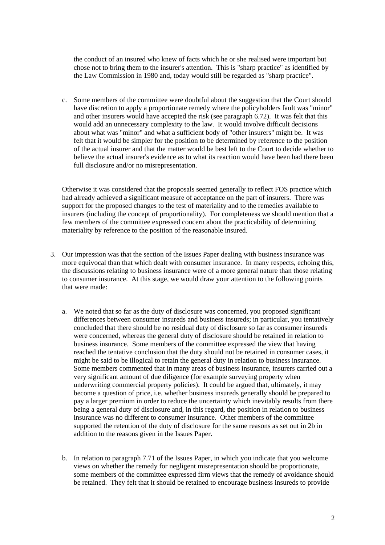the conduct of an insured who knew of facts which he or she realised were important but chose not to bring them to the insurer's attention. This is "sharp practice" as identified by the Law Commission in 1980 and, today would still be regarded as "sharp practice".

c. Some members of the committee were doubtful about the suggestion that the Court should have discretion to apply a proportionate remedy where the policyholders fault was "minor" and other insurers would have accepted the risk (see paragraph 6.72). It was felt that this would add an unnecessary complexity to the law. It would involve difficult decisions about what was "minor" and what a sufficient body of "other insurers" might be. It was felt that it would be simpler for the position to be determined by reference to the position of the actual insurer and that the matter would be best left to the Court to decide whether to believe the actual insurer's evidence as to what its reaction would have been had there been full disclosure and/or no misrepresentation.

Otherwise it was considered that the proposals seemed generally to reflect FOS practice which had already achieved a significant measure of acceptance on the part of insurers. There was support for the proposed changes to the test of materiality and to the remedies available to insurers (including the concept of proportionality). For completeness we should mention that a few members of the committee expressed concern about the practicability of determining materiality by reference to the position of the reasonable insured.

- 3. Our impression was that the section of the Issues Paper dealing with business insurance was more equivocal than that which dealt with consumer insurance. In many respects, echoing this, the discussions relating to business insurance were of a more general nature than those relating to consumer insurance. At this stage, we would draw your attention to the following points that were made:
	- a. We noted that so far as the duty of disclosure was concerned, you proposed significant differences between consumer insureds and business insureds; in particular, you tentatively concluded that there should be no residual duty of disclosure so far as consumer insureds were concerned, whereas the general duty of disclosure should be retained in relation to business insurance. Some members of the committee expressed the view that having reached the tentative conclusion that the duty should not be retained in consumer cases, it might be said to be illogical to retain the general duty in relation to business insurance. Some members commented that in many areas of business insurance, insurers carried out a very significant amount of due diligence (for example surveying property when underwriting commercial property policies). It could be argued that, ultimately, it may become a question of price, i.e. whether business insureds generally should be prepared to pay a larger premium in order to reduce the uncertainty which inevitably results from there being a general duty of disclosure and, in this regard, the position in relation to business insurance was no different to consumer insurance. Other members of the committee supported the retention of the duty of disclosure for the same reasons as set out in 2b in addition to the reasons given in the Issues Paper.
	- b. In relation to paragraph 7.71 of the Issues Paper, in which you indicate that you welcome views on whether the remedy for negligent misrepresentation should be proportionate, some members of the committee expressed firm views that the remedy of avoidance should be retained. They felt that it should be retained to encourage business insureds to provide